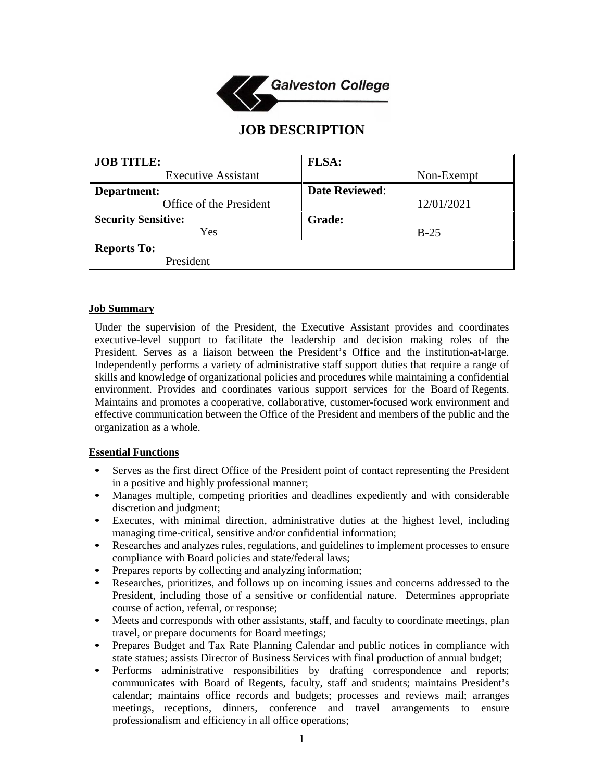

# **JOB DESCRIPTION**

| <b>JOB TITLE:</b>          | <b>FLSA:</b>          |
|----------------------------|-----------------------|
| <b>Executive Assistant</b> | Non-Exempt            |
| Department:                | <b>Date Reviewed:</b> |
| Office of the President    | 12/01/2021            |
| <b>Security Sensitive:</b> | <b>Grade:</b>         |
| Yes                        | $B-25$                |
| <b>Reports To:</b>         |                       |
| President                  |                       |

#### **Job Summary**

Under the supervision of the President, the Executive Assistant provides and coordinates executive-level support to facilitate the leadership and decision making roles of the President. Serves as a liaison between the President's Office and the institution-at-large. Independently performs a variety of administrative staff support duties that require a range of skills and knowledge of organizational policies and procedures while maintaining a confidential environment. Provides and coordinates various support services for the Board of Regents. Maintains and promotes a cooperative, collaborative, customer-focused work environment and effective communication between the Office of the President and members of the public and the organization as a whole.

#### **Essential Functions**

- Serves as the first direct Office of the President point of contact representing the President in a positive and highly professional manner;
- Manages multiple, competing priorities and deadlines expediently and with considerable discretion and judgment;
- Executes, with minimal direction, administrative duties at the highest level, including managing time-critical, sensitive and/or confidential information;
- Researches and analyzes rules, regulations, and guidelines to implement processes to ensure compliance with Board policies and state/federal laws;
- Prepares reports by collecting and analyzing information;
- Researches, prioritizes, and follows up on incoming issues and concerns addressed to the President, including those of a sensitive or confidential nature. Determines appropriate course of action, referral, or response;
- Meets and corresponds with other assistants, staff, and faculty to coordinate meetings, plan travel, or prepare documents for Board meetings;
- Prepares Budget and Tax Rate Planning Calendar and public notices in compliance with state statues; assists Director of Business Services with final production of annual budget;
- Performs administrative responsibilities by drafting correspondence and reports; communicates with Board of Regents, faculty, staff and students; maintains President's calendar; maintains office records and budgets; processes and reviews mail; arranges meetings, receptions, dinners, conference and travel arrangements to ensure professionalism and efficiency in all office operations;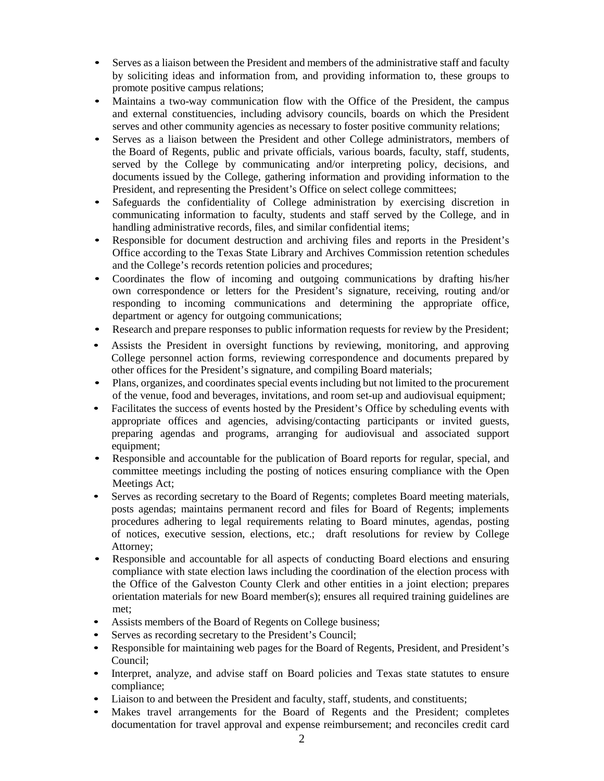- Serves as a liaison between the President and members of the administrative staff and faculty by soliciting ideas and information from, and providing information to, these groups to promote positive campus relations;
- Maintains a two-way communication flow with the Office of the President, the campus and external constituencies, including advisory councils, boards on which the President serves and other community agencies as necessary to foster positive community relations;
- Serves as a liaison between the President and other College administrators, members of the Board of Regents, public and private officials, various boards, faculty, staff, students, served by the College by communicating and/or interpreting policy, decisions, and documents issued by the College, gathering information and providing information to the President, and representing the President's Office on select college committees;
- Safeguards the confidentiality of College administration by exercising discretion in communicating information to faculty, students and staff served by the College, and in handling administrative records, files, and similar confidential items;
- Responsible for document destruction and archiving files and reports in the President's Office according to the Texas State Library and Archives Commission retention schedules and the College's records retention policies and procedures;
- Coordinates the flow of incoming and outgoing communications by drafting his/her own correspondence or letters for the President's signature, receiving, routing and/or responding to incoming communications and determining the appropriate office, department or agency for outgoing communications;
- Research and prepare responses to public information requests for review by the President;
- Assists the President in oversight functions by reviewing, monitoring, and approving College personnel action forms, reviewing correspondence and documents prepared by other offices for the President's signature, and compiling Board materials;
- Plans, organizes, and coordinates special events including but not limited to the procurement of the venue, food and beverages, invitations, and room set-up and audiovisual equipment;
- Facilitates the success of events hosted by the President's Office by scheduling events with appropriate offices and agencies, advising/contacting participants or invited guests, preparing agendas and programs, arranging for audiovisual and associated support equipment:
- Responsible and accountable for the publication of Board reports for regular, special, and committee meetings including the posting of notices ensuring compliance with the Open Meetings Act;
- Serves as recording secretary to the Board of Regents; completes Board meeting materials, posts agendas; maintains permanent record and files for Board of Regents; implements procedures adhering to legal requirements relating to Board minutes, agendas, posting of notices, executive session, elections, etc.; draft resolutions for review by College Attorney;
- Responsible and accountable for all aspects of conducting Board elections and ensuring compliance with state election laws including the coordination of the election process with the Office of the Galveston County Clerk and other entities in a joint election; prepares orientation materials for new Board member(s); ensures all required training guidelines are met;
- Assists members of the Board of Regents on College business;
- Serves as recording secretary to the President's Council;
- Responsible for maintaining web pages for the Board of Regents, President, and President's Council;
- Interpret, analyze, and advise staff on Board policies and Texas state statutes to ensure compliance;
- Liaison to and between the President and faculty, staff, students, and constituents;
- Makes travel arrangements for the Board of Regents and the President; completes documentation for travel approval and expense reimbursement; and reconciles credit card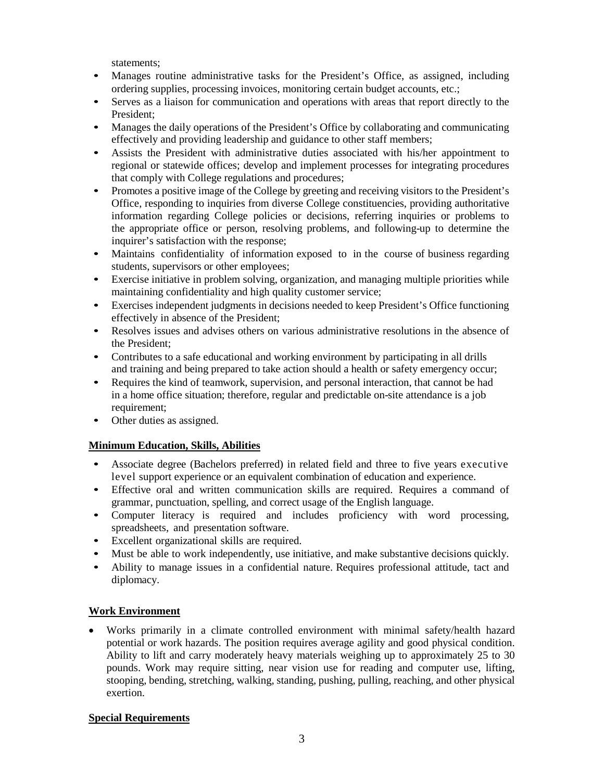statements;

- Manages routine administrative tasks for the President's Office, as assigned, including ordering supplies, processing invoices, monitoring certain budget accounts, etc.;
- Serves as a liaison for communication and operations with areas that report directly to the President;
- Manages the daily operations of the President's Office by collaborating and communicating effectively and providing leadership and guidance to other staff members;
- Assists the President with administrative duties associated with his/her appointment to regional or statewide offices; develop and implement processes for integrating procedures that comply with College regulations and procedures;
- Promotes a positive image of the College by greeting and receiving visitors to the President's Office, responding to inquiries from diverse College constituencies, providing authoritative information regarding College policies or decisions, referring inquiries or problems to the appropriate office or person, resolving problems, and following-up to determine the inquirer's satisfaction with the response;
- Maintains confidentiality of information exposed to in the course of business regarding students, supervisors or other employees;
- Exercise initiative in problem solving, organization, and managing multiple priorities while maintaining confidentiality and high quality customer service;
- Exercises independent judgments in decisions needed to keep President's Office functioning effectively in absence of the President;
- Resolves issues and advises others on various administrative resolutions in the absence of the President;
- Contributes to a safe educational and working environment by participating in all drills and training and being prepared to take action should a health or safety emergency occur;
- Requires the kind of teamwork, supervision, and personal interaction, that cannot be had in a home office situation; therefore, regular and predictable on-site attendance is a job requirement;
- Other duties as assigned.

## **Minimum Education, Skills, Abilities**

- Associate degree (Bachelors preferred) in related field and three to five years executive level support experience or an equivalent combination of education and experience.
- Effective oral and written communication skills are required. Requires a command of grammar, punctuation, spelling, and correct usage of the English language.
- Computer literacy is required and includes proficiency with word processing, spreadsheets, and presentation software.
- Excellent organizational skills are required.
- Must be able to work independently, use initiative, and make substantive decisions quickly.
- Ability to manage issues in a confidential nature. Requires professional attitude, tact and diplomacy.

## **Work Environment**

• Works primarily in a climate controlled environment with minimal safety/health hazard potential or work hazards. The position requires average agility and good physical condition. Ability to lift and carry moderately heavy materials weighing up to approximately 25 to 30 pounds. Work may require sitting, near vision use for reading and computer use, lifting, stooping, bending, stretching, walking, standing, pushing, pulling, reaching, and other physical exertion.

## **Special Requirements**